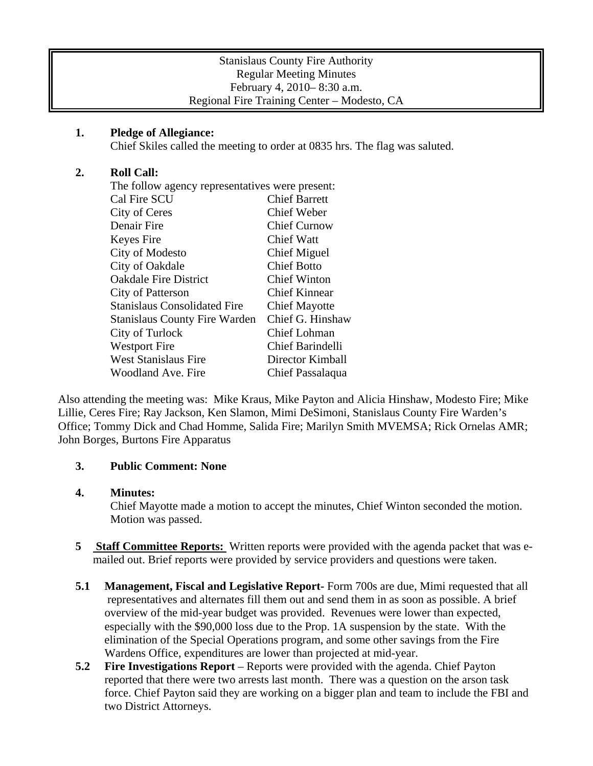| <b>Stanislaus County Fire Authority</b>     |
|---------------------------------------------|
| <b>Regular Meeting Minutes</b>              |
| February 4, 2010–8:30 a.m.                  |
| Regional Fire Training Center – Modesto, CA |

## **1. Pledge of Allegiance:**

Chief Skiles called the meeting to order at 0835 hrs. The flag was saluted.

## **2. Roll Call:**

| The follow agency representatives were present: |                         |
|-------------------------------------------------|-------------------------|
| Cal Fire SCU                                    | <b>Chief Barrett</b>    |
| City of Ceres                                   | <b>Chief Weber</b>      |
| Denair Fire                                     | <b>Chief Curnow</b>     |
| Keyes Fire                                      | Chief Watt              |
| City of Modesto                                 | Chief Miguel            |
| City of Oakdale                                 | <b>Chief Botto</b>      |
| <b>Oakdale Fire District</b>                    | <b>Chief Winton</b>     |
| City of Patterson                               | <b>Chief Kinnear</b>    |
| <b>Stanislaus Consolidated Fire</b>             | <b>Chief Mayotte</b>    |
| <b>Stanislaus County Fire Warden</b>            | Chief G. Hinshaw        |
| City of Turlock                                 | Chief Lohman            |
| <b>Westport Fire</b>                            | <b>Chief Barindelli</b> |
| West Stanislaus Fire                            | Director Kimball        |
| Woodland Ave. Fire                              | Chief Passalaqua        |
|                                                 |                         |

Also attending the meeting was: Mike Kraus, Mike Payton and Alicia Hinshaw, Modesto Fire; Mike Lillie, Ceres Fire; Ray Jackson, Ken Slamon, Mimi DeSimoni, Stanislaus County Fire Warden's Office; Tommy Dick and Chad Homme, Salida Fire; Marilyn Smith MVEMSA; Rick Ornelas AMR; John Borges, Burtons Fire Apparatus

# **3. Public Comment: None**

### **4. Minutes:**

Chief Mayotte made a motion to accept the minutes, Chief Winton seconded the motion. Motion was passed.

- **5** Staff Committee Reports: Written reports were provided with the agenda packet that was emailed out. Brief reports were provided by service providers and questions were taken.
- **5.1 Management, Fiscal and Legislative Report-** Form 700s are due, Mimi requested that all representatives and alternates fill them out and send them in as soon as possible. A brief overview of the mid-year budget was provided. Revenues were lower than expected, especially with the \$90,000 loss due to the Prop. 1A suspension by the state. With the elimination of the Special Operations program, and some other savings from the Fire Wardens Office, expenditures are lower than projected at mid-year.
- **5.2 Fire Investigations Report** Reports were provided with the agenda. Chief Payton reported that there were two arrests last month. There was a question on the arson task force. Chief Payton said they are working on a bigger plan and team to include the FBI and two District Attorneys.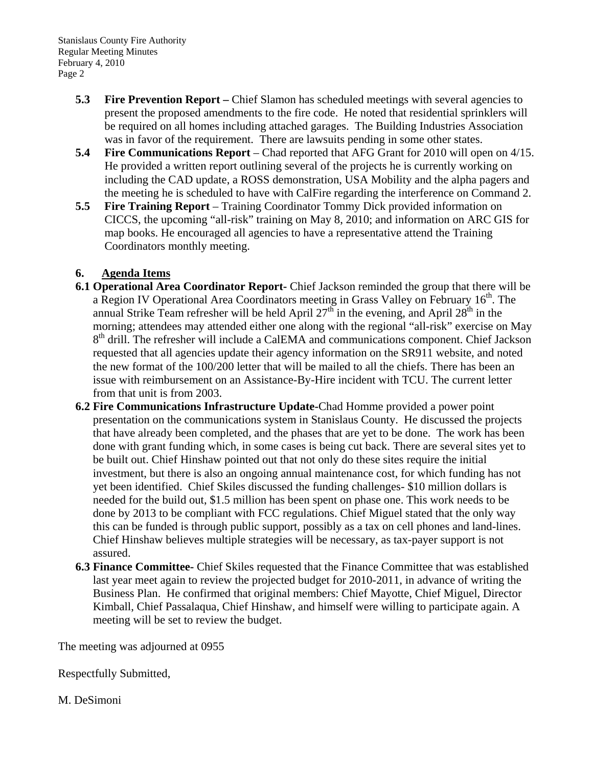Stanislaus County Fire Authority Regular Meeting Minutes February 4, 2010 Page 2

- **5.3 Fire Prevention Report** Chief Slamon has scheduled meetings with several agencies to present the proposed amendments to the fire code. He noted that residential sprinklers will be required on all homes including attached garages. The Building Industries Association was in favor of the requirement. There are lawsuits pending in some other states.
- **5.4 Fire Communications Report** Chad reported that AFG Grant for 2010 will open on 4/15. He provided a written report outlining several of the projects he is currently working on including the CAD update, a ROSS demonstration, USA Mobility and the alpha pagers and the meeting he is scheduled to have with CalFire regarding the interference on Command 2.
- **5.5 Fire Training Report** Training Coordinator Tommy Dick provided information on CICCS, the upcoming "all-risk" training on May 8, 2010; and information on ARC GIS for map books. He encouraged all agencies to have a representative attend the Training Coordinators monthly meeting.

# **6. Agenda Items**

- **6.1 Operational Area Coordinator Report-** Chief Jackson reminded the group that there will be a Region IV Operational Area Coordinators meeting in Grass Valley on February  $16<sup>th</sup>$ . The annual Strike Team refresher will be held April  $27<sup>th</sup>$  in the evening, and April  $28<sup>th</sup>$  in the morning; attendees may attended either one along with the regional "all-risk" exercise on May 8<sup>th</sup> drill. The refresher will include a CalEMA and communications component. Chief Jackson requested that all agencies update their agency information on the SR911 website, and noted the new format of the 100/200 letter that will be mailed to all the chiefs. There has been an issue with reimbursement on an Assistance-By-Hire incident with TCU. The current letter from that unit is from 2003.
- **6.2 Fire Communications Infrastructure Update-**Chad Homme provided a power point presentation on the communications system in Stanislaus County. He discussed the projects that have already been completed, and the phases that are yet to be done. The work has been done with grant funding which, in some cases is being cut back. There are several sites yet to be built out. Chief Hinshaw pointed out that not only do these sites require the initial investment, but there is also an ongoing annual maintenance cost, for which funding has not yet been identified. Chief Skiles discussed the funding challenges- \$10 million dollars is needed for the build out, \$1.5 million has been spent on phase one. This work needs to be done by 2013 to be compliant with FCC regulations. Chief Miguel stated that the only way this can be funded is through public support, possibly as a tax on cell phones and land-lines. Chief Hinshaw believes multiple strategies will be necessary, as tax-payer support is not assured.
- **6.3 Finance Committee-** Chief Skiles requested that the Finance Committee that was established last year meet again to review the projected budget for 2010-2011, in advance of writing the Business Plan. He confirmed that original members: Chief Mayotte, Chief Miguel, Director Kimball, Chief Passalaqua, Chief Hinshaw, and himself were willing to participate again. A meeting will be set to review the budget.

The meeting was adjourned at 0955

Respectfully Submitted,

M. DeSimoni